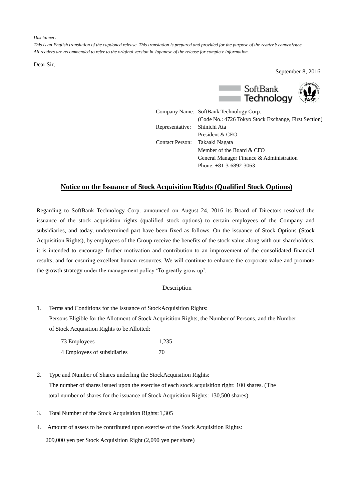## *Disclaimer:*

*This is an English translation of the captioned release. This translation is prepared and provided for the purpose of the reader's convenience. All readers are recommended to refer to the original version in Japanese of the release for complete information.*

Dear Sir,

September 8, 2016



|                        | Company Name: SoftBank Technology Corp.              |
|------------------------|------------------------------------------------------|
|                        | (Code No.: 4726 Tokyo Stock Exchange, First Section) |
| Representative:        | Shinichi Ata                                         |
|                        | President & CEO                                      |
| <b>Contact Person:</b> | Takaaki Nagata                                       |
|                        | Member of the Board & CFO                            |
|                        | General Manager Finance & Administration             |
|                        | Phone: $+81-3-6892-3063$                             |

## **Notice on the Issuance of Stock Acquisition Rights (Qualified Stock Options)**

Regarding to SoftBank Technology Corp. announced on August 24, 2016 its Board of Directors resolved the issuance of the stock acquisition rights (qualified stock options) to certain employees of the Company and subsidiaries, and today, undetermined part have been fixed as follows. On the issuance of Stock Options (Stock Acquisition Rights), by employees of the Group receive the benefits of the stock value along with our shareholders, it is intended to encourage further motivation and contribution to an improvement of the consolidated financial results, and for ensuring excellent human resources. We will continue to enhance the corporate value and promote the growth strategy under the management policy 'To greatly grow up'.

## Description

1. Terms and Conditions for the Issuance of StockAcquisition Rights: Persons Eligible for the Allotment of Stock Acquisition Rights, the Number of Persons, and the Number of Stock Acquisition Rights to be Allotted:

| 73 Employees                | 1.235 |
|-----------------------------|-------|
| 4 Employees of subsidiaries | 70    |

- 2. Type and Number of Shares underling the StockAcquisition Rights: The number of shares issued upon the exercise of each stock acquisition right: 100 shares. (The total number of shares for the issuance of Stock Acquisition Rights: 130,500 shares)
- 3. Total Number of the Stock Acquisition Rights:1,305
- 4. Amount of assets to be contributed upon exercise of the Stock Acquisition Rights: 209,000 yen per Stock Acquisition Right (2,090 yen per share)